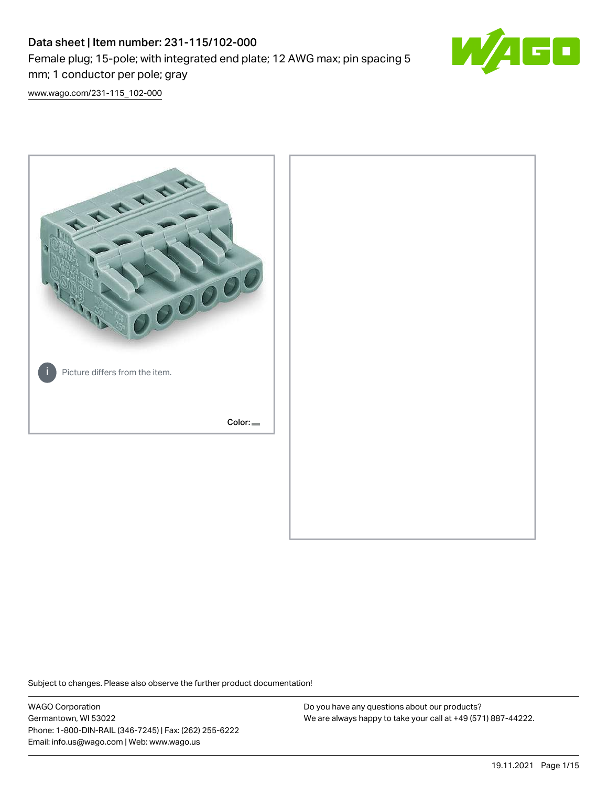# Data sheet | Item number: 231-115/102-000 Female plug; 15-pole; with integrated end plate; 12 AWG max; pin spacing 5 mm; 1 conductor per pole; gray



[www.wago.com/231-115\\_102-000](http://www.wago.com/231-115_102-000)



Subject to changes. Please also observe the further product documentation!

WAGO Corporation Germantown, WI 53022 Phone: 1-800-DIN-RAIL (346-7245) | Fax: (262) 255-6222 Email: info.us@wago.com | Web: www.wago.us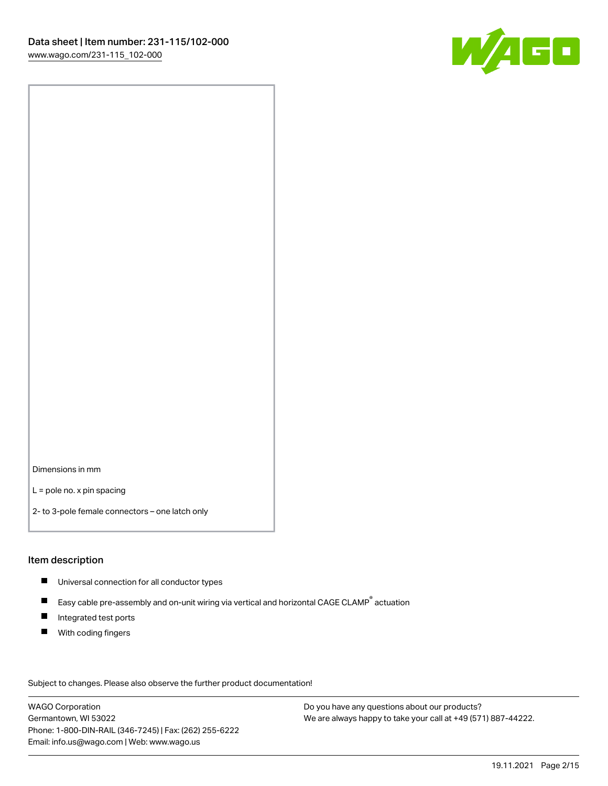

Dimensions in mm

L = pole no. x pin spacing

2- to 3-pole female connectors – one latch only

#### Item description

- **Universal connection for all conductor types**
- Easy cable pre-assembly and on-unit wiring via vertical and horizontal CAGE CLAMP<sup>®</sup> actuation  $\blacksquare$
- $\blacksquare$ Integrated test ports
- $\blacksquare$ With coding fingers

Subject to changes. Please also observe the further product documentation! Data

WAGO Corporation Germantown, WI 53022 Phone: 1-800-DIN-RAIL (346-7245) | Fax: (262) 255-6222 Email: info.us@wago.com | Web: www.wago.us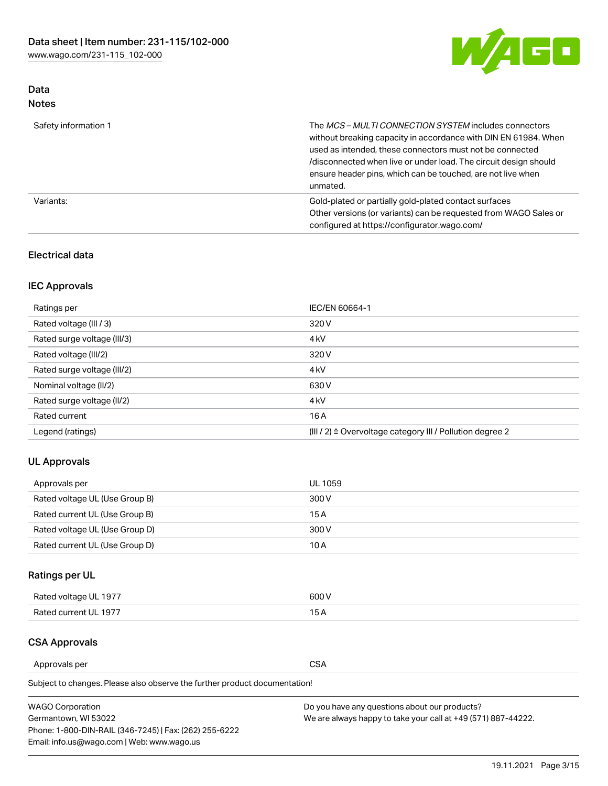

# Data Notes

| Safety information 1 | The MCS-MULTI CONNECTION SYSTEM includes connectors<br>without breaking capacity in accordance with DIN EN 61984. When<br>used as intended, these connectors must not be connected<br>/disconnected when live or under load. The circuit design should<br>ensure header pins, which can be touched, are not live when<br>unmated. |
|----------------------|-----------------------------------------------------------------------------------------------------------------------------------------------------------------------------------------------------------------------------------------------------------------------------------------------------------------------------------|
| Variants:            | Gold-plated or partially gold-plated contact surfaces<br>Other versions (or variants) can be requested from WAGO Sales or<br>configured at https://configurator.wago.com/                                                                                                                                                         |

# Electrical data

# IEC Approvals

| Ratings per                 | IEC/EN 60664-1                                                        |  |
|-----------------------------|-----------------------------------------------------------------------|--|
| Rated voltage (III / 3)     | 320 V                                                                 |  |
| Rated surge voltage (III/3) | 4 <sub>k</sub> V                                                      |  |
| Rated voltage (III/2)       | 320 V                                                                 |  |
| Rated surge voltage (III/2) | 4 <sub>k</sub> V                                                      |  |
| Nominal voltage (II/2)      | 630 V                                                                 |  |
| Rated surge voltage (II/2)  | 4 <sub>k</sub> V                                                      |  |
| Rated current               | 16A                                                                   |  |
| Legend (ratings)            | $(III / 2)$ $\triangle$ Overvoltage category III / Pollution degree 2 |  |

# UL Approvals

| Approvals per                  | UL 1059 |
|--------------------------------|---------|
| Rated voltage UL (Use Group B) | 300 V   |
| Rated current UL (Use Group B) | 15 A    |
| Rated voltage UL (Use Group D) | 300 V   |
| Rated current UL (Use Group D) | 10 A    |

# Ratings per UL

| Rated voltage UL 1977 | 300 V |
|-----------------------|-------|
| Rated current UL 1977 |       |

# CSA Approvals

Approvals per CSA

Subject to changes. Please also observe the further product documentation!

| <b>WAGO Corporation</b>                                | Do you have any questions about our products?                 |
|--------------------------------------------------------|---------------------------------------------------------------|
| Germantown, WI 53022                                   | We are always happy to take your call at +49 (571) 887-44222. |
| Phone: 1-800-DIN-RAIL (346-7245)   Fax: (262) 255-6222 |                                                               |
| Email: info.us@wago.com   Web: www.wago.us             |                                                               |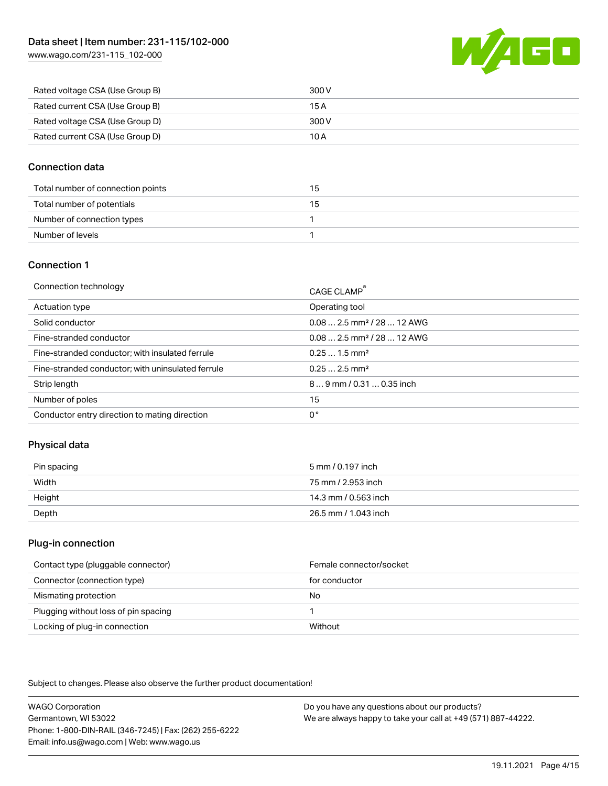[www.wago.com/231-115\\_102-000](http://www.wago.com/231-115_102-000)



| Rated voltage CSA (Use Group B) | 300 V |
|---------------------------------|-------|
| Rated current CSA (Use Group B) | 15 A  |
| Rated voltage CSA (Use Group D) | 300 V |
| Rated current CSA (Use Group D) | 10 A  |

#### Connection data

| Total number of connection points | 15 |
|-----------------------------------|----|
| Total number of potentials        | 15 |
| Number of connection types        |    |
| Number of levels                  |    |

#### Connection 1

| Connection technology                             | CAGE CLAMP®                             |
|---------------------------------------------------|-----------------------------------------|
| Actuation type                                    | Operating tool                          |
| Solid conductor                                   | $0.082.5$ mm <sup>2</sup> / 28  12 AWG  |
| Fine-stranded conductor                           | $0.08$ 2.5 mm <sup>2</sup> / 28  12 AWG |
| Fine-stranded conductor; with insulated ferrule   | $0.251.5$ mm <sup>2</sup>               |
| Fine-stranded conductor; with uninsulated ferrule | $0.252.5$ mm <sup>2</sup>               |
| Strip length                                      | $89$ mm $/ 0.310.35$ inch               |
| Number of poles                                   | 15                                      |
| Conductor entry direction to mating direction     | 0°                                      |

# Physical data

| Pin spacing | 5 mm / 0.197 inch    |
|-------------|----------------------|
| Width       | 75 mm / 2.953 inch   |
| Height      | 14.3 mm / 0.563 inch |
| Depth       | 26.5 mm / 1.043 inch |

#### Plug-in connection

| Contact type (pluggable connector)   | Female connector/socket |
|--------------------------------------|-------------------------|
| Connector (connection type)          | for conductor           |
| Mismating protection                 | No                      |
| Plugging without loss of pin spacing |                         |
| Locking of plug-in connection        | Without                 |

Subject to changes. Please also observe the further product documentation!

WAGO Corporation Germantown, WI 53022 Phone: 1-800-DIN-RAIL (346-7245) | Fax: (262) 255-6222 Email: info.us@wago.com | Web: www.wago.us Do you have any questions about our products? We are always happy to take your call at +49 (571) 887-44222.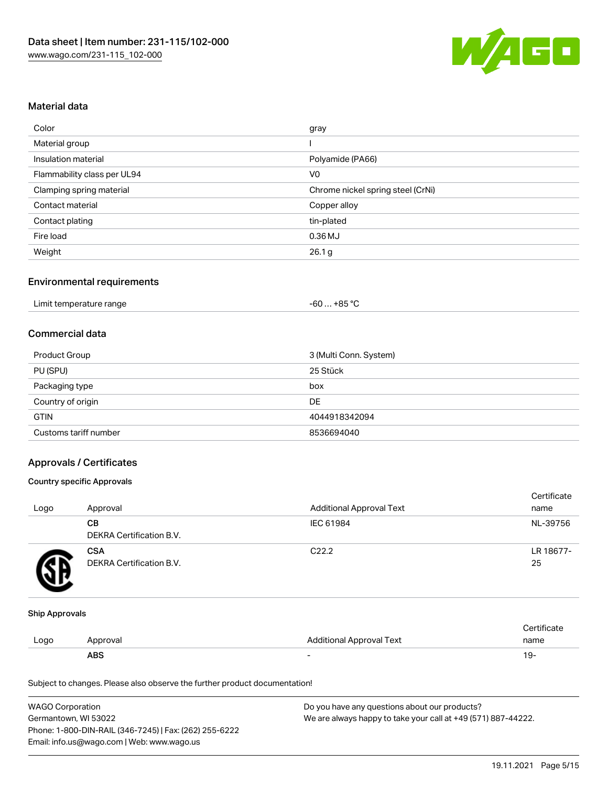

#### Material data

| Color                       | gray                              |
|-----------------------------|-----------------------------------|
| Material group              |                                   |
| Insulation material         | Polyamide (PA66)                  |
| Flammability class per UL94 | V <sub>0</sub>                    |
| Clamping spring material    | Chrome nickel spring steel (CrNi) |
| Contact material            | Copper alloy                      |
| Contact plating             | tin-plated                        |
| Fire load                   | $0.36$ MJ                         |
| Weight                      | 26.1 <sub>g</sub>                 |

#### Environmental requirements

| Limit temperature range<br>$\blacksquare$ . The contract of the contract of the contract of the contract of the contract of the contract of the contract of the contract of the contract of the contract of the contract of the contract of the contract of the | . +85 °Ր<br>- 60 |  |
|-----------------------------------------------------------------------------------------------------------------------------------------------------------------------------------------------------------------------------------------------------------------|------------------|--|
|-----------------------------------------------------------------------------------------------------------------------------------------------------------------------------------------------------------------------------------------------------------------|------------------|--|

#### Commercial data

| Product Group         | 3 (Multi Conn. System) |
|-----------------------|------------------------|
| PU (SPU)              | 25 Stück               |
| Packaging type        | box                    |
| Country of origin     | DE                     |
| <b>GTIN</b>           | 4044918342094          |
| Customs tariff number | 8536694040             |

#### Approvals / Certificates

#### Country specific Approvals

| Logo | Approval                               | <b>Additional Approval Text</b> | Certificate<br>name |
|------|----------------------------------------|---------------------------------|---------------------|
|      | CВ<br>DEKRA Certification B.V.         | IEC 61984                       | NL-39756            |
|      | <b>CSA</b><br>DEKRA Certification B.V. | C <sub>22.2</sub>               | LR 18677-<br>25     |

#### Ship Approvals

|      | ABS      |                          | - ك ا       |
|------|----------|--------------------------|-------------|
| Logo | Approval | Additional Approval Text | name        |
|      |          |                          | ∵ertificate |

Subject to changes. Please also observe the further product documentation!

| <b>WAGO Corporation</b>                                | Do you have any questions about our products?                 |
|--------------------------------------------------------|---------------------------------------------------------------|
| Germantown. WI 53022                                   | We are always happy to take your call at +49 (571) 887-44222. |
| Phone: 1-800-DIN-RAIL (346-7245)   Fax: (262) 255-6222 |                                                               |
| Email: info.us@wago.com   Web: www.wago.us             |                                                               |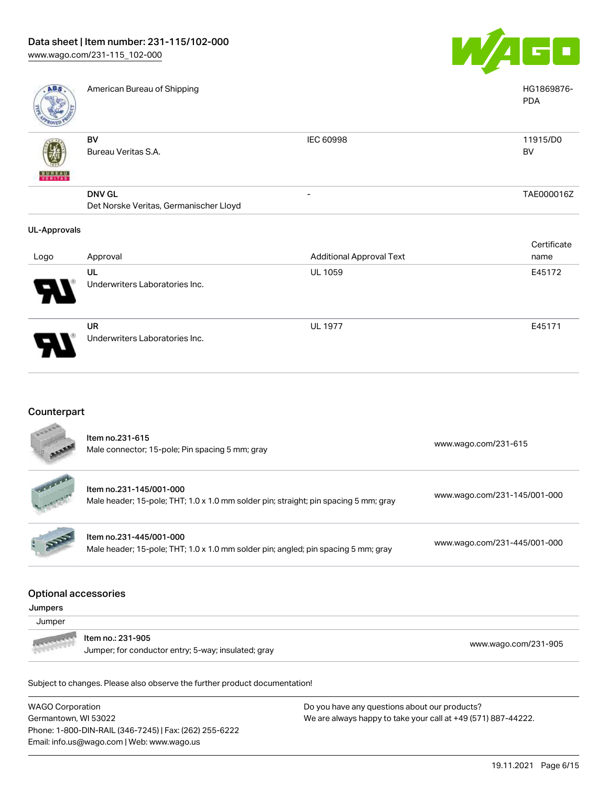

| ABS                      | American Bureau of Shipping            |                                 | HG1869876-<br><b>PDA</b> |
|--------------------------|----------------------------------------|---------------------------------|--------------------------|
|                          | BV                                     | IEC 60998                       | 11915/D0                 |
|                          | Bureau Veritas S.A.                    |                                 | BV                       |
| <b>BUNEAU</b><br>VERITAS |                                        |                                 |                          |
|                          | <b>DNV GL</b>                          | -                               | TAE000016Z               |
|                          | Det Norske Veritas, Germanischer Lloyd |                                 |                          |
| <b>UL-Approvals</b>      |                                        |                                 |                          |
|                          |                                        |                                 | Certificate              |
| Logo                     | Approval                               | <b>Additional Approval Text</b> | name                     |
|                          | UL                                     | UL 1059                         | E45172                   |
|                          | Underwriters Laboratories Inc.         |                                 |                          |

UR Underwriters Laboratories Inc.

# Counterpart

|                                        | Item no.231-615<br>Male connector; 15-pole; Pin spacing 5 mm; gray                                              | www.wago.com/231-615         |
|----------------------------------------|-----------------------------------------------------------------------------------------------------------------|------------------------------|
|                                        | Item no.231-145/001-000<br>Male header; 15-pole; THT; 1.0 x 1.0 mm solder pin; straight; pin spacing 5 mm; gray | www.wago.com/231-145/001-000 |
|                                        | Item no.231-445/001-000<br>Male header; 15-pole; THT; 1.0 x 1.0 mm solder pin; angled; pin spacing 5 mm; gray   | www.wago.com/231-445/001-000 |
| <b>Optional accessories</b><br>Jumpers |                                                                                                                 |                              |
| Jumper                                 |                                                                                                                 |                              |
|                                        | Item no.: 231-905                                                                                               | www.wago.com/231-905         |
|                                        |                                                                                                                 |                              |

WAGO Corporation Germantown, WI 53022 Phone: 1-800-DIN-RAIL (346-7245) | Fax: (262) 255-6222 Email: info.us@wago.com | Web: www.wago.us

Do you have any questions about our products? We are always happy to take your call at +49 (571) 887-44222.

UL 1977 E45171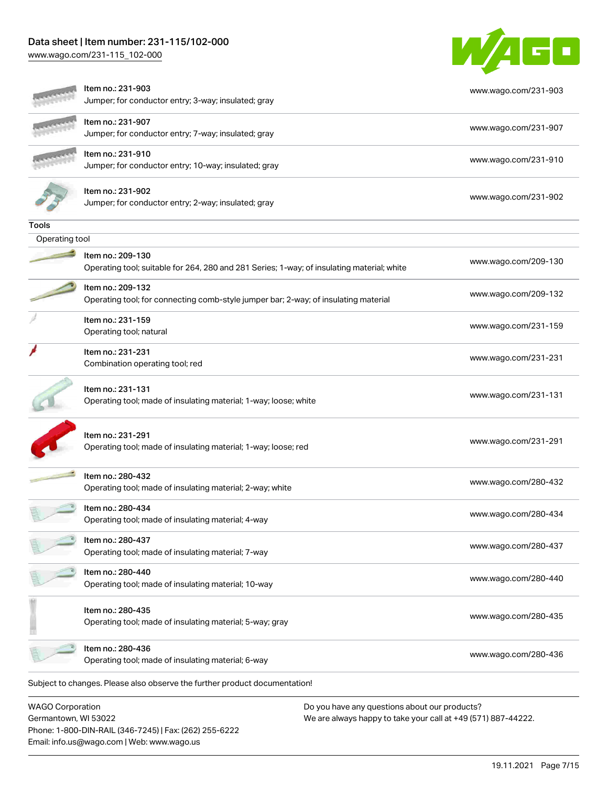# Data sheet | Item number: 231-115/102-000

[www.wago.com/231-115\\_102-000](http://www.wago.com/231-115_102-000)



|                         | Item no.: 231-903<br>Jumper; for conductor entry; 3-way; insulated; gray                                        | www.wago.com/231-903 |
|-------------------------|-----------------------------------------------------------------------------------------------------------------|----------------------|
|                         | Item no.: 231-907<br>Jumper; for conductor entry; 7-way; insulated; gray                                        | www.wago.com/231-907 |
|                         | Item no.: 231-910<br>Jumper; for conductor entry; 10-way; insulated; gray                                       | www.wago.com/231-910 |
|                         | Item no.: 231-902<br>Jumper; for conductor entry; 2-way; insulated; gray                                        | www.wago.com/231-902 |
| Tools                   |                                                                                                                 |                      |
| Operating tool          |                                                                                                                 |                      |
|                         | Item no.: 209-130<br>Operating tool; suitable for 264, 280 and 281 Series; 1-way; of insulating material; white | www.wago.com/209-130 |
|                         | Item no.: 209-132<br>Operating tool; for connecting comb-style jumper bar; 2-way; of insulating material        | www.wago.com/209-132 |
|                         | Item no.: 231-159<br>Operating tool; natural                                                                    | www.wago.com/231-159 |
|                         | Item no.: 231-231<br>Combination operating tool; red                                                            | www.wago.com/231-231 |
|                         | Item no.: 231-131<br>Operating tool; made of insulating material; 1-way; loose; white                           | www.wago.com/231-131 |
|                         | Item no.: 231-291<br>Operating tool; made of insulating material; 1-way; loose; red                             | www.wago.com/231-291 |
|                         | Item no.: 280-432<br>Operating tool; made of insulating material; 2-way; white                                  | www.wago.com/280-432 |
|                         | Item no.: 280-434<br>Operating tool; made of insulating material; 4-way                                         | www.wago.com/280-434 |
|                         | Item no.: 280-437<br>Operating tool; made of insulating material; 7-way                                         | www.wago.com/280-437 |
|                         | Item no.: 280-440<br>Operating tool; made of insulating material; 10-way                                        | www.wago.com/280-440 |
|                         | Item no.: 280-435<br>Operating tool; made of insulating material; 5-way; gray                                   | www.wago.com/280-435 |
|                         | Item no.: 280-436<br>Operating tool; made of insulating material; 6-way                                         | www.wago.com/280-436 |
|                         | Subject to changes. Please also observe the further product documentation!                                      |                      |
| <b>WAGO Corporation</b> | Do you have any questions about our products?                                                                   |                      |

Germantown, WI 53022 Phone: 1-800-DIN-RAIL (346-7245) | Fax: (262) 255-6222 Email: info.us@wago.com | Web: www.wago.us

We are always happy to take your call at +49 (571) 887-44222.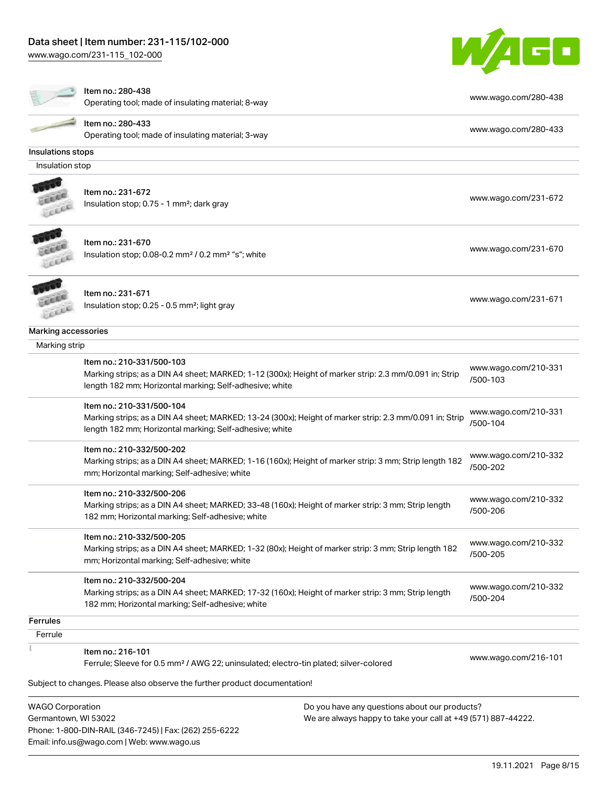



Item no.: 280-438

Nething... 200 400<br>Operating tool; made of insulating material; 8-way [www.wago.com/280-438](http://www.wago.com/280-438)

| Item no.: 280-433  |
|--------------------|
| Operating tool: ma |

Operating tool; made of insulating material; 3-way [www.wago.com/280-433](http://www.wago.com/280-433)

#### Insulations stops

Insulation stop



# Item no.: 231-672 Insulation stop; 0.75 - 1 mm<sup>2</sup>; dark gray [www.wago.com/231-672](http://www.wago.com/231-672) www.wago.com/231-672



Item no.: 231-670 Insulation stop; 0.08-0.2 mm<sup>2</sup> / 0.2 mm<sup>2</sup> "s"; white [www.wago.com/231-670](http://www.wago.com/231-670) www.wago.com/231-670



Item no.: 231-671 Item ito... 231-071<br>Insulation stop; 0.25 - 0.5 mm²; light gray [www.wago.com/231-671](http://www.wago.com/231-671)

#### Marking accessories

| Marking strip                                                                                                                                                                                   |                                  |
|-------------------------------------------------------------------------------------------------------------------------------------------------------------------------------------------------|----------------------------------|
| Item no.: 210-331/500-103<br>Marking strips; as a DIN A4 sheet; MARKED; 1-12 (300x); Height of marker strip: 2.3 mm/0.091 in; Strip<br>length 182 mm; Horizontal marking; Self-adhesive; white  | www.wago.com/210-331<br>/500-103 |
| Item no.: 210-331/500-104<br>Marking strips; as a DIN A4 sheet; MARKED; 13-24 (300x); Height of marker strip: 2.3 mm/0.091 in; Strip<br>length 182 mm; Horizontal marking; Self-adhesive; white | www.wago.com/210-331<br>/500-104 |
| Item no.: 210-332/500-202<br>Marking strips; as a DIN A4 sheet; MARKED; 1-16 (160x); Height of marker strip: 3 mm; Strip length 182<br>mm; Horizontal marking; Self-adhesive; white             | www.wago.com/210-332<br>/500-202 |
| Item no.: 210-332/500-206<br>Marking strips; as a DIN A4 sheet; MARKED; 33-48 (160x); Height of marker strip: 3 mm; Strip length<br>182 mm; Horizontal marking; Self-adhesive; white            | www.wago.com/210-332<br>/500-206 |
| Item no.: 210-332/500-205<br>Marking strips; as a DIN A4 sheet; MARKED; 1-32 (80x); Height of marker strip: 3 mm; Strip length 182<br>mm; Horizontal marking; Self-adhesive; white              | www.wago.com/210-332<br>/500-205 |
| Item no.: 210-332/500-204<br>Marking strips; as a DIN A4 sheet; MARKED; 17-32 (160x); Height of marker strip: 3 mm; Strip length<br>182 mm; Horizontal marking; Self-adhesive; white            | www.wago.com/210-332<br>/500-204 |
|                                                                                                                                                                                                 |                                  |
|                                                                                                                                                                                                 |                                  |
| Item no.: 216-101<br>Ferrule; Sleeve for 0.5 mm <sup>2</sup> / AWG 22; uninsulated; electro-tin plated; silver-colored                                                                          | www.wago.com/216-101             |
|                                                                                                                                                                                                 |                                  |

WAGO Corporation Germantown, WI 53022 Phone: 1-800-DIN-RAIL (346-7245) | Fax: (262) 255-6222 Email: info.us@wago.com | Web: www.wago.us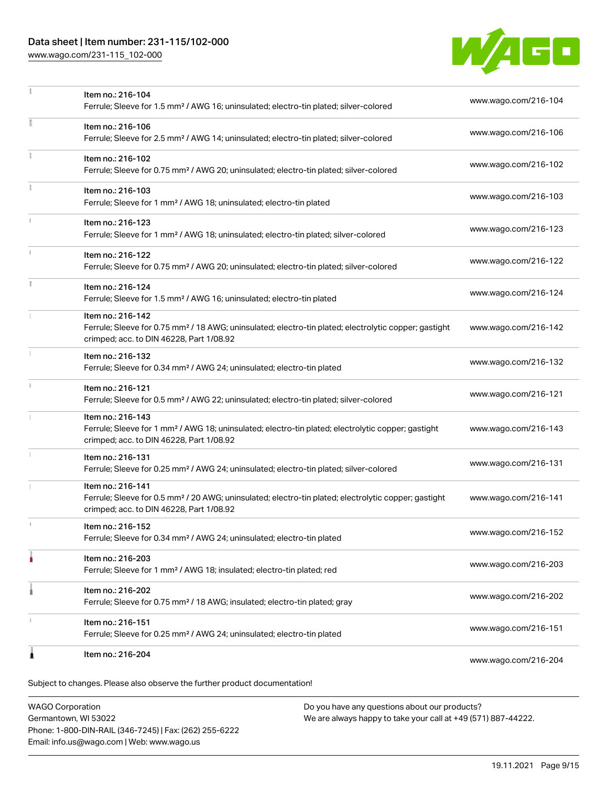# Data sheet | Item number: 231-115/102-000

[www.wago.com/231-115\\_102-000](http://www.wago.com/231-115_102-000)



|               | Item no.: 216-104<br>Ferrule; Sleeve for 1.5 mm <sup>2</sup> / AWG 16; uninsulated; electro-tin plated; silver-colored                                                             | www.wago.com/216-104 |
|---------------|------------------------------------------------------------------------------------------------------------------------------------------------------------------------------------|----------------------|
| ī             | Item no.: 216-106<br>Ferrule; Sleeve for 2.5 mm <sup>2</sup> / AWG 14; uninsulated; electro-tin plated; silver-colored                                                             | www.wago.com/216-106 |
|               | Item no.: 216-102<br>Ferrule; Sleeve for 0.75 mm <sup>2</sup> / AWG 20; uninsulated; electro-tin plated; silver-colored                                                            | www.wago.com/216-102 |
|               | Item no.: 216-103<br>Ferrule; Sleeve for 1 mm <sup>2</sup> / AWG 18; uninsulated; electro-tin plated                                                                               | www.wago.com/216-103 |
|               | Item no.: 216-123<br>Ferrule; Sleeve for 1 mm <sup>2</sup> / AWG 18; uninsulated; electro-tin plated; silver-colored                                                               | www.wago.com/216-123 |
| $\frac{1}{3}$ | Item no.: 216-122<br>Ferrule; Sleeve for 0.75 mm <sup>2</sup> / AWG 20; uninsulated; electro-tin plated; silver-colored                                                            | www.wago.com/216-122 |
|               | Item no.: 216-124<br>Ferrule; Sleeve for 1.5 mm <sup>2</sup> / AWG 16; uninsulated; electro-tin plated                                                                             | www.wago.com/216-124 |
|               | Item no.: 216-142<br>Ferrule; Sleeve for 0.75 mm <sup>2</sup> / 18 AWG; uninsulated; electro-tin plated; electrolytic copper; gastight<br>crimped; acc. to DIN 46228, Part 1/08.92 | www.wago.com/216-142 |
|               | Item no.: 216-132<br>Ferrule; Sleeve for 0.34 mm <sup>2</sup> / AWG 24; uninsulated; electro-tin plated                                                                            | www.wago.com/216-132 |
| $\ddot{x}$    | Item no.: 216-121<br>Ferrule; Sleeve for 0.5 mm <sup>2</sup> / AWG 22; uninsulated; electro-tin plated; silver-colored                                                             | www.wago.com/216-121 |
|               | Item no.: 216-143<br>Ferrule; Sleeve for 1 mm <sup>2</sup> / AWG 18; uninsulated; electro-tin plated; electrolytic copper; gastight<br>crimped; acc. to DIN 46228, Part 1/08.92    | www.wago.com/216-143 |
|               | Item no.: 216-131<br>Ferrule; Sleeve for 0.25 mm <sup>2</sup> / AWG 24; uninsulated; electro-tin plated; silver-colored                                                            | www.wago.com/216-131 |
|               | Item no.: 216-141<br>Ferrule; Sleeve for 0.5 mm <sup>2</sup> / 20 AWG; uninsulated; electro-tin plated; electrolytic copper; gastight<br>crimped; acc. to DIN 46228, Part 1/08.92  | www.wago.com/216-141 |
|               | Item no.: 216-152<br>Ferrule; Sleeve for 0.34 mm <sup>2</sup> / AWG 24; uninsulated; electro-tin plated                                                                            | www.wago.com/216-152 |
|               | Item no.: 216-203<br>Ferrule; Sleeve for 1 mm <sup>2</sup> / AWG 18; insulated; electro-tin plated; red                                                                            | www.wago.com/216-203 |
|               | Item no.: 216-202<br>Ferrule; Sleeve for 0.75 mm <sup>2</sup> / 18 AWG; insulated; electro-tin plated; gray                                                                        | www.wago.com/216-202 |
|               | Item no.: 216-151<br>Ferrule; Sleeve for 0.25 mm <sup>2</sup> / AWG 24; uninsulated; electro-tin plated                                                                            | www.wago.com/216-151 |
| ٨             | Item no.: 216-204                                                                                                                                                                  | www.wago.com/216-204 |
|               | Subject to changes. Please also observe the further product documentation!                                                                                                         |                      |

WAGO Corporation Germantown, WI 53022 Phone: 1-800-DIN-RAIL (346-7245) | Fax: (262) 255-6222 Email: info.us@wago.com | Web: www.wago.us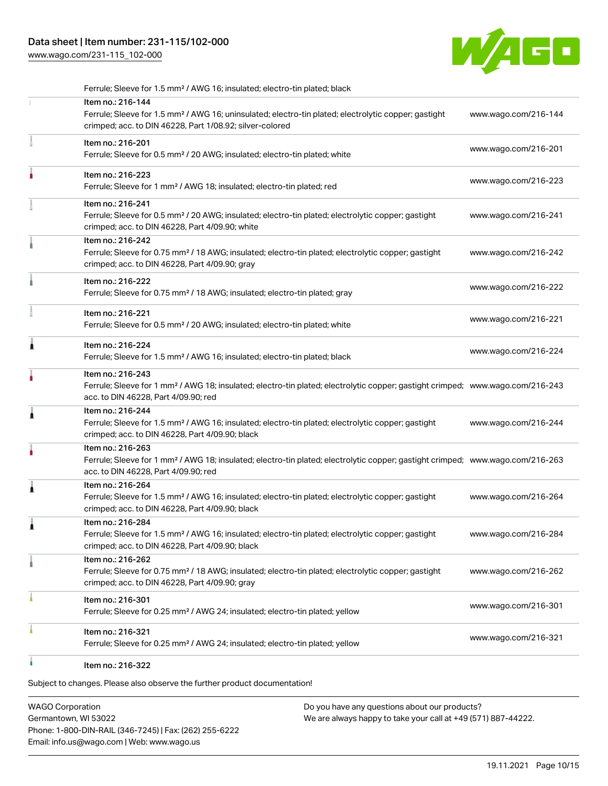# Data sheet | Item number: 231-115/102-000

[www.wago.com/231-115\\_102-000](http://www.wago.com/231-115_102-000)



|   | Ferrule; Sleeve for 1.5 mm <sup>2</sup> / AWG 16; insulated; electro-tin plated; black                                                                                                                  |                      |
|---|---------------------------------------------------------------------------------------------------------------------------------------------------------------------------------------------------------|----------------------|
|   | Item no.: 216-144<br>Ferrule; Sleeve for 1.5 mm <sup>2</sup> / AWG 16; uninsulated; electro-tin plated; electrolytic copper; gastight<br>crimped; acc. to DIN 46228, Part 1/08.92; silver-colored       | www.wago.com/216-144 |
|   | Item no.: 216-201<br>Ferrule; Sleeve for 0.5 mm <sup>2</sup> / 20 AWG; insulated; electro-tin plated; white                                                                                             | www.wago.com/216-201 |
|   | Item no.: 216-223<br>Ferrule; Sleeve for 1 mm <sup>2</sup> / AWG 18; insulated; electro-tin plated; red                                                                                                 | www.wago.com/216-223 |
|   | Item no.: 216-241<br>Ferrule; Sleeve for 0.5 mm <sup>2</sup> / 20 AWG; insulated; electro-tin plated; electrolytic copper; gastight<br>crimped; acc. to DIN 46228, Part 4/09.90; white                  | www.wago.com/216-241 |
|   | Item no.: 216-242<br>Ferrule; Sleeve for 0.75 mm <sup>2</sup> / 18 AWG; insulated; electro-tin plated; electrolytic copper; gastight<br>crimped; acc. to DIN 46228, Part 4/09.90; gray                  | www.wago.com/216-242 |
|   | Item no.: 216-222<br>Ferrule; Sleeve for 0.75 mm <sup>2</sup> / 18 AWG; insulated; electro-tin plated; gray                                                                                             | www.wago.com/216-222 |
|   | Item no.: 216-221<br>Ferrule; Sleeve for 0.5 mm <sup>2</sup> / 20 AWG; insulated; electro-tin plated; white                                                                                             | www.wago.com/216-221 |
| Â | Item no.: 216-224<br>Ferrule; Sleeve for 1.5 mm <sup>2</sup> / AWG 16; insulated; electro-tin plated; black                                                                                             | www.wago.com/216-224 |
|   | Item no.: 216-243<br>Ferrule; Sleeve for 1 mm <sup>2</sup> / AWG 18; insulated; electro-tin plated; electrolytic copper; gastight crimped; www.wago.com/216-243<br>acc. to DIN 46228, Part 4/09.90; red |                      |
| 1 | Item no.: 216-244<br>Ferrule; Sleeve for 1.5 mm <sup>2</sup> / AWG 16; insulated; electro-tin plated; electrolytic copper; gastight<br>crimped; acc. to DIN 46228, Part 4/09.90; black                  | www.wago.com/216-244 |
|   | Item no.: 216-263<br>Ferrule; Sleeve for 1 mm <sup>2</sup> / AWG 18; insulated; electro-tin plated; electrolytic copper; gastight crimped; www.wago.com/216-263<br>acc. to DIN 46228, Part 4/09.90; red |                      |
| 1 | Item no.: 216-264<br>Ferrule; Sleeve for 1.5 mm <sup>2</sup> / AWG 16; insulated; electro-tin plated; electrolytic copper; gastight<br>crimped; acc. to DIN 46228, Part 4/09.90; black                  | www.wago.com/216-264 |
|   | Item no.: 216-284<br>Ferrule; Sleeve for 1.5 mm <sup>2</sup> / AWG 16; insulated; electro-tin plated; electrolytic copper; gastight<br>crimped; acc. to DIN 46228, Part 4/09.90; black                  | www.wago.com/216-284 |
|   | Item no.: 216-262<br>Ferrule; Sleeve for 0.75 mm <sup>2</sup> / 18 AWG; insulated; electro-tin plated; electrolytic copper; gastight<br>crimped; acc. to DIN 46228, Part 4/09.90; gray                  | www.wago.com/216-262 |
|   | Item no.: 216-301<br>Ferrule; Sleeve for 0.25 mm <sup>2</sup> / AWG 24; insulated; electro-tin plated; yellow                                                                                           | www.wago.com/216-301 |
|   | Item no.: 216-321<br>Ferrule; Sleeve for 0.25 mm <sup>2</sup> / AWG 24; insulated; electro-tin plated; yellow                                                                                           | www.wago.com/216-321 |
|   | Item no.: 216-322                                                                                                                                                                                       |                      |

Subject to changes. Please also observe the further product documentation!

WAGO Corporation Germantown, WI 53022 Phone: 1-800-DIN-RAIL (346-7245) | Fax: (262) 255-6222 Email: info.us@wago.com | Web: www.wago.us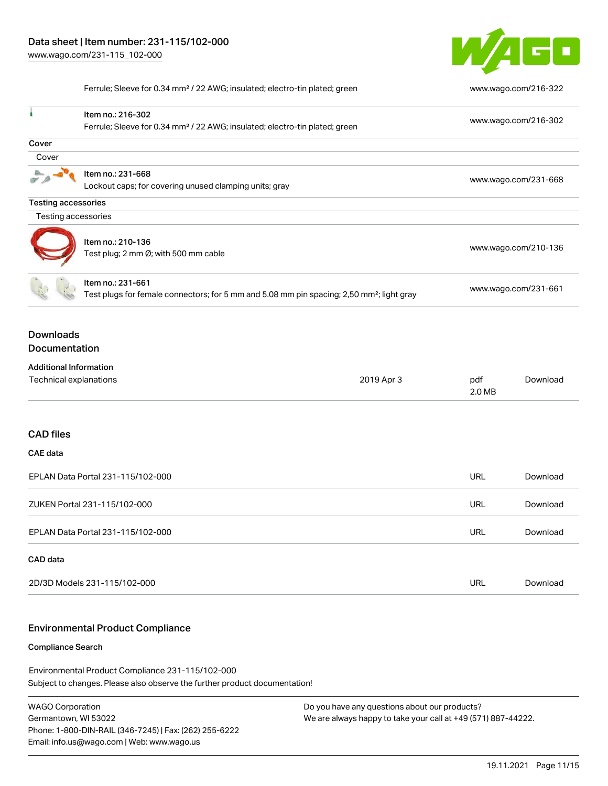

Ferrule; Sleeve for 0.34 mm² / 22 AWG; insulated; electro-tin plated; green [www.wago.com/216-322](http://www.wago.com/216-322)

|                                                                                         | Item no.: 216-302                                                                                     |            |                      | www.wago.com/216-302 |
|-----------------------------------------------------------------------------------------|-------------------------------------------------------------------------------------------------------|------------|----------------------|----------------------|
| Ferrule; Sleeve for 0.34 mm <sup>2</sup> / 22 AWG; insulated; electro-tin plated; green |                                                                                                       |            |                      |                      |
| Cover                                                                                   |                                                                                                       |            |                      |                      |
| Cover                                                                                   |                                                                                                       |            |                      |                      |
|                                                                                         | Item no.: 231-668                                                                                     |            |                      | www.wago.com/231-668 |
|                                                                                         | Lockout caps; for covering unused clamping units; gray                                                |            |                      |                      |
| <b>Testing accessories</b>                                                              |                                                                                                       |            |                      |                      |
| Testing accessories                                                                     |                                                                                                       |            |                      |                      |
|                                                                                         |                                                                                                       |            |                      |                      |
|                                                                                         | Item no.: 210-136<br>Test plug; 2 mm Ø; with 500 mm cable                                             |            |                      | www.wago.com/210-136 |
|                                                                                         |                                                                                                       |            |                      |                      |
|                                                                                         | Item no.: 231-661                                                                                     |            |                      |                      |
|                                                                                         | Test plugs for female connectors; for 5 mm and 5.08 mm pin spacing; 2,50 mm <sup>2</sup> ; light gray |            | www.wago.com/231-661 |                      |
| <b>Downloads</b>                                                                        |                                                                                                       |            |                      |                      |
| Documentation                                                                           |                                                                                                       |            |                      |                      |
| <b>Additional Information</b>                                                           |                                                                                                       |            |                      |                      |
| Technical explanations                                                                  |                                                                                                       | 2019 Apr 3 | pdf                  | Download             |
|                                                                                         |                                                                                                       |            | 2.0 MB               |                      |
|                                                                                         |                                                                                                       |            |                      |                      |
| <b>CAD files</b>                                                                        |                                                                                                       |            |                      |                      |
| <b>CAE</b> data                                                                         |                                                                                                       |            |                      |                      |
|                                                                                         | EPLAN Data Portal 231-115/102-000                                                                     |            | <b>URL</b>           | Download             |
|                                                                                         | ZUKEN Portal 231-115/102-000                                                                          |            | <b>URL</b>           | Download             |
|                                                                                         | EPLAN Data Portal 231-115/102-000                                                                     |            | <b>URL</b>           | Download             |
| CAD data                                                                                |                                                                                                       |            |                      |                      |
|                                                                                         | 2D/3D Models 231-115/102-000                                                                          |            | <b>URL</b>           | Download             |
|                                                                                         |                                                                                                       |            |                      |                      |

### Environmental Product Compliance

#### Compliance Search

Subject to changes. Please also observe the further product documentation! Environmental Product Compliance 231-115/102-000

WAGO Corporation Germantown, WI 53022 Phone: 1-800-DIN-RAIL (346-7245) | Fax: (262) 255-6222 Email: info.us@wago.com | Web: www.wago.us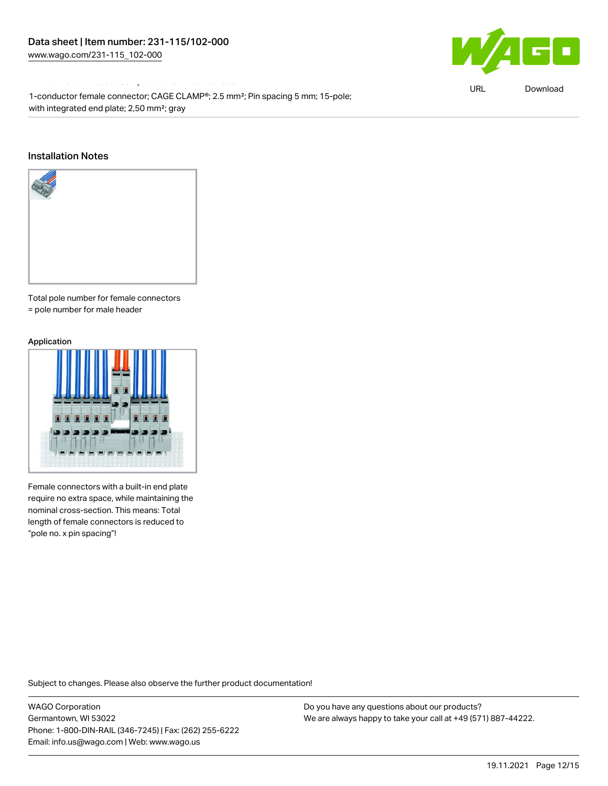Environmental Product Compliance 231-115/102-000

 $\blacksquare$ 

URL [Download](https://www.wago.com/global/d/ComplianceLinkMediaContainer_231-115_102-000)

1-conductor female connector; CAGE CLAMP®; 2.5 mm²; Pin spacing 5 mm; 15-pole; with integrated end plate; 2,50 mm²; gray

#### Installation Notes



Total pole number for female connectors = pole number for male header

#### Application



Female connectors with a built-in end plate require no extra space, while maintaining the nominal cross-section. This means: Total length of female connectors is reduced to "pole no. x pin spacing"!

Subject to changes. Please also observe the further product documentation!

WAGO Corporation Germantown, WI 53022 Phone: 1-800-DIN-RAIL (346-7245) | Fax: (262) 255-6222 Email: info.us@wago.com | Web: www.wago.us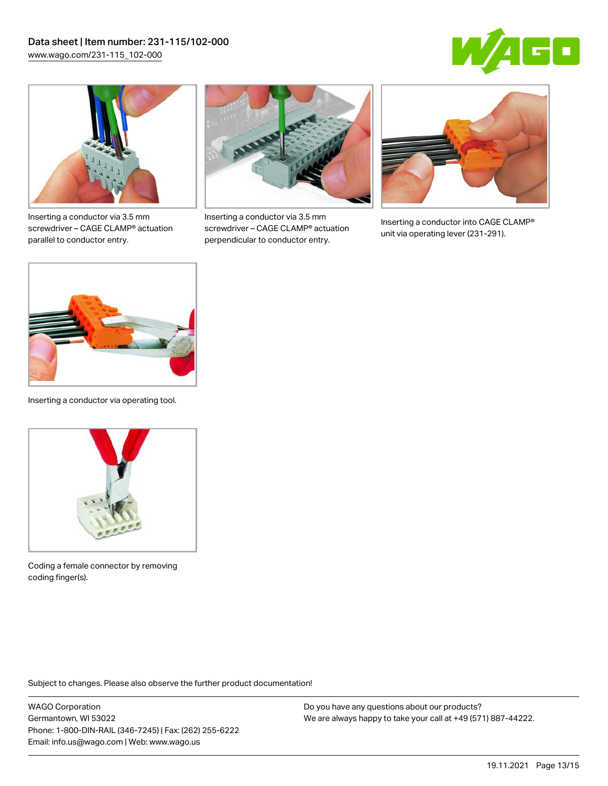



Inserting a conductor via 3.5 mm screwdriver – CAGE CLAMP® actuation parallel to conductor entry.



Inserting a conductor via 3.5 mm screwdriver – CAGE CLAMP® actuation perpendicular to conductor entry.



Inserting a conductor into CAGE CLAMP® unit via operating lever (231-291).



Inserting a conductor via operating tool.



Coding a female connector by removing coding finger(s).

Subject to changes. Please also observe the further product documentation!

WAGO Corporation Germantown, WI 53022 Phone: 1-800-DIN-RAIL (346-7245) | Fax: (262) 255-6222 Email: info.us@wago.com | Web: www.wago.us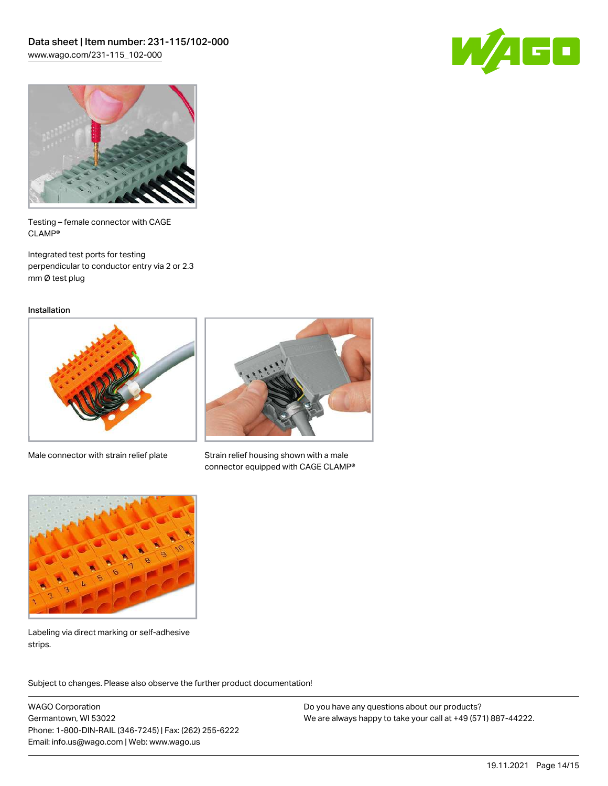



Testing – female connector with CAGE CLAMP®

Integrated test ports for testing perpendicular to conductor entry via 2 or 2.3 mm Ø test plug

Installation



Male connector with strain relief plate



Strain relief housing shown with a male connector equipped with CAGE CLAMP®



Labeling via direct marking or self-adhesive strips.

Subject to changes. Please also observe the further product documentation! Product family

WAGO Corporation Germantown, WI 53022 Phone: 1-800-DIN-RAIL (346-7245) | Fax: (262) 255-6222 Email: info.us@wago.com | Web: www.wago.us